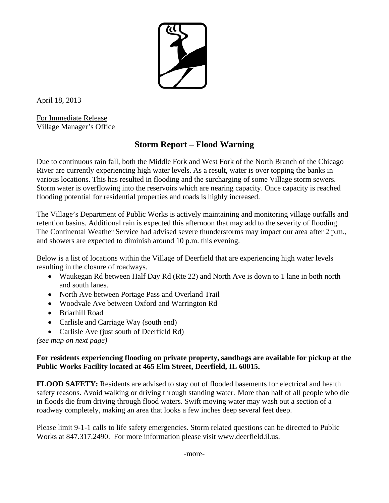

April 18, 2013

For Immediate Release Village Manager's Office

## **Storm Report – Flood Warning**

Due to continuous rain fall, both the Middle Fork and West Fork of the North Branch of the Chicago River are currently experiencing high water levels. As a result, water is over topping the banks in various locations. This has resulted in flooding and the surcharging of some Village storm sewers. Storm water is overflowing into the reservoirs which are nearing capacity. Once capacity is reached flooding potential for residential properties and roads is highly increased.

The Village's Department of Public Works is actively maintaining and monitoring village outfalls and retention basins. Additional rain is expected this afternoon that may add to the severity of flooding. The Continental Weather Service had advised severe thunderstorms may impact our area after 2 p.m., and showers are expected to diminish around 10 p.m. this evening.

Below is a list of locations within the Village of Deerfield that are experiencing high water levels resulting in the closure of roadways.

- Waukegan Rd between Half Day Rd (Rte 22) and North Ave is down to 1 lane in both north and south lanes.
- North Ave between Portage Pass and Overland Trail
- Woodvale Ave between Oxford and Warrington Rd
- Briarhill Road
- Carlisle and Carriage Way (south end)
- Carlisle Ave (just south of Deerfield Rd)

*(see map on next page)* 

## **For residents experiencing flooding on private property, sandbags are available for pickup at the Public Works Facility located at 465 Elm Street, Deerfield, IL 60015.**

**FLOOD SAFETY:** Residents are advised to stay out of flooded basements for electrical and health safety reasons. Avoid walking or driving through standing water.More than half of all people who die in floods die from driving through flood waters. Swift moving water may wash out a section of a roadway completely, making an area that looks a few inches deep several feet deep.

Please limit 9-1-1 calls to life safety emergencies. Storm related questions can be directed to Public Works at 847.317.2490. For more information please visit www.deerfield.il.us.